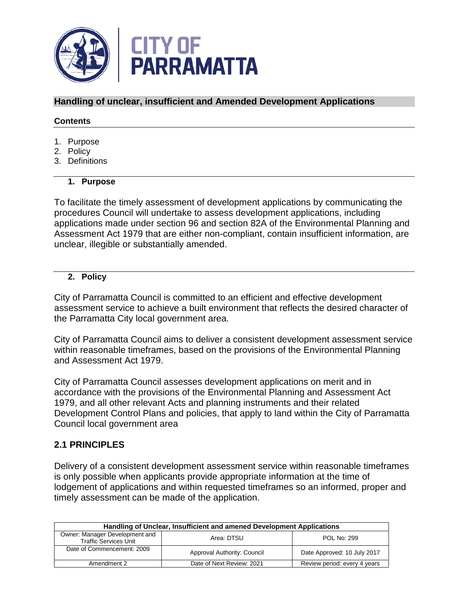

# **Handling of unclear, insufficient and Amended Development Applications**

#### **Contents**

- 1. Purpose
- 2. Policy
- 3. Definitions

## **1. Purpose**

To facilitate the timely assessment of development applications by communicating the procedures Council will undertake to assess development applications, including applications made under section 96 and section 82A of the Environmental Planning and Assessment Act 1979 that are either non-compliant, contain insufficient information, are unclear, illegible or substantially amended.

## **2. Policy**

City of Parramatta Council is committed to an efficient and effective development assessment service to achieve a built environment that reflects the desired character of the Parramatta City local government area.

City of Parramatta Council aims to deliver a consistent development assessment service within reasonable timeframes, based on the provisions of the Environmental Planning and Assessment Act 1979.

City of Parramatta Council assesses development applications on merit and in accordance with the provisions of the Environmental Planning and Assessment Act 1979, and all other relevant Acts and planning instruments and their related Development Control Plans and policies, that apply to land within the City of Parramatta Council local government area

# **2.1 PRINCIPLES**

Delivery of a consistent development assessment service within reasonable timeframes is only possible when applicants provide appropriate information at the time of lodgement of applications and within requested timeframes so an informed, proper and timely assessment can be made of the application.

| Handling of Unclear, Insufficient and amened Development Applications |                             |                              |  |
|-----------------------------------------------------------------------|-----------------------------|------------------------------|--|
| Owner: Manager Development and<br><b>Traffic Services Unit</b>        | Area: DTSU                  | POL No: 299                  |  |
| Date of Commencement: 2009                                            | Approval Authority: Council | Date Approved: 10 July 2017  |  |
| Amendment 2                                                           | Date of Next Review: 2021   | Review period: every 4 years |  |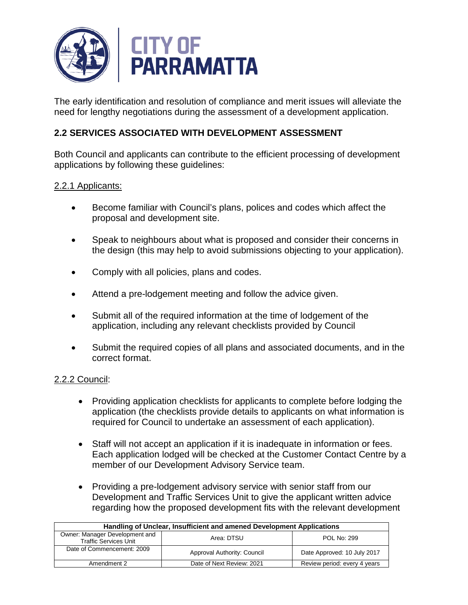

The early identification and resolution of compliance and merit issues will alleviate the need for lengthy negotiations during the assessment of a development application.

# **2.2 SERVICES ASSOCIATED WITH DEVELOPMENT ASSESSMENT**

Both Council and applicants can contribute to the efficient processing of development applications by following these guidelines:

## 2.2.1 Applicants:

- Become familiar with Council's plans, polices and codes which affect the proposal and development site.
- Speak to neighbours about what is proposed and consider their concerns in the design (this may help to avoid submissions objecting to your application).
- Comply with all policies, plans and codes.
- Attend a pre-lodgement meeting and follow the advice given.
- Submit all of the required information at the time of lodgement of the application, including any relevant checklists provided by Council
- Submit the required copies of all plans and associated documents, and in the correct format.

## 2.2.2 Council:

- Providing application checklists for applicants to complete before lodging the application (the checklists provide details to applicants on what information is required for Council to undertake an assessment of each application).
- Staff will not accept an application if it is inadequate in information or fees. Each application lodged will be checked at the Customer Contact Centre by a member of our Development Advisory Service team.
- Providing a pre-lodgement advisory service with senior staff from our Development and Traffic Services Unit to give the applicant written advice regarding how the proposed development fits with the relevant development

| Handling of Unclear, Insufficient and amened Development Applications |                             |                              |  |
|-----------------------------------------------------------------------|-----------------------------|------------------------------|--|
| Owner: Manager Development and<br><b>Traffic Services Unit</b>        | Area: DTSU                  | <b>POL No: 299</b>           |  |
| Date of Commencement: 2009                                            | Approval Authority: Council | Date Approved: 10 July 2017  |  |
| Amendment 2                                                           | Date of Next Review: 2021   | Review period: every 4 years |  |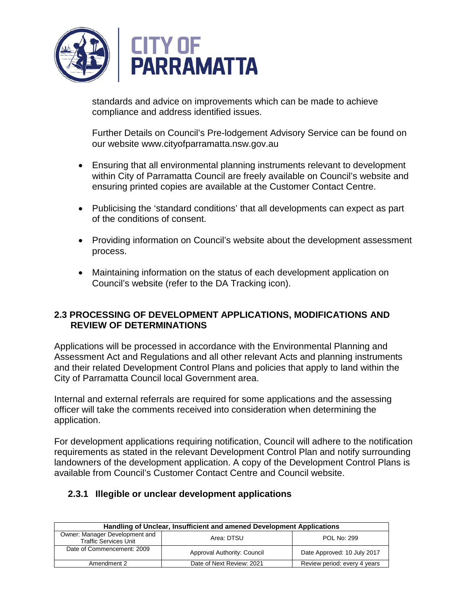

standards and advice on improvements which can be made to achieve compliance and address identified issues.

Further Details on Council's Pre-lodgement Advisory Service can be found on our website www.cityofparramatta.nsw.gov.au

- Ensuring that all environmental planning instruments relevant to development within City of Parramatta Council are freely available on Council's website and ensuring printed copies are available at the Customer Contact Centre.
- Publicising the 'standard conditions' that all developments can expect as part of the conditions of consent.
- Providing information on Council's website about the development assessment process.
- Maintaining information on the status of each development application on Council's website (refer to the DA Tracking icon).

# **2.3 PROCESSING OF DEVELOPMENT APPLICATIONS, MODIFICATIONS AND REVIEW OF DETERMINATIONS**

Applications will be processed in accordance with the Environmental Planning and Assessment Act and Regulations and all other relevant Acts and planning instruments and their related Development Control Plans and policies that apply to land within the City of Parramatta Council local Government area.

Internal and external referrals are required for some applications and the assessing officer will take the comments received into consideration when determining the application.

For development applications requiring notification, Council will adhere to the notification requirements as stated in the relevant Development Control Plan and notify surrounding landowners of the development application. A copy of the Development Control Plans is available from Council's Customer Contact Centre and Council website.

## **2.3.1 Illegible or unclear development applications**

| Handling of Unclear, Insufficient and amened Development Applications |                             |                              |
|-----------------------------------------------------------------------|-----------------------------|------------------------------|
| Owner: Manager Development and<br><b>Traffic Services Unit</b>        | Area: DTSU                  | POL No: 299                  |
| Date of Commencement: 2009                                            | Approval Authority: Council | Date Approved: 10 July 2017  |
| Amendment 2                                                           | Date of Next Review: 2021   | Review period: every 4 years |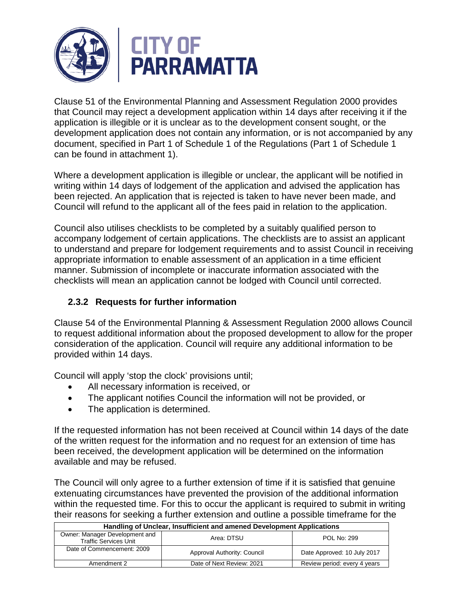

Clause 51 of the Environmental Planning and Assessment Regulation 2000 provides that Council may reject a development application within 14 days after receiving it if the application is illegible or it is unclear as to the development consent sought, or the development application does not contain any information, or is not accompanied by any document, specified in Part 1 of Schedule 1 of the Regulations (Part 1 of Schedule 1 can be found in attachment 1).

Where a development application is illegible or unclear, the applicant will be notified in writing within 14 days of lodgement of the application and advised the application has been rejected. An application that is rejected is taken to have never been made, and Council will refund to the applicant all of the fees paid in relation to the application.

Council also utilises checklists to be completed by a suitably qualified person to accompany lodgement of certain applications. The checklists are to assist an applicant to understand and prepare for lodgement requirements and to assist Council in receiving appropriate information to enable assessment of an application in a time efficient manner. Submission of incomplete or inaccurate information associated with the checklists will mean an application cannot be lodged with Council until corrected.

# **2.3.2 Requests for further information**

Clause 54 of the Environmental Planning & Assessment Regulation 2000 allows Council to request additional information about the proposed development to allow for the proper consideration of the application. Council will require any additional information to be provided within 14 days.

Council will apply 'stop the clock' provisions until;

- All necessary information is received, or
- The applicant notifies Council the information will not be provided, or
- The application is determined.

If the requested information has not been received at Council within 14 days of the date of the written request for the information and no request for an extension of time has been received, the development application will be determined on the information available and may be refused.

The Council will only agree to a further extension of time if it is satisfied that genuine extenuating circumstances have prevented the provision of the additional information within the requested time. For this to occur the applicant is required to submit in writing their reasons for seeking a further extension and outline a possible timeframe for the

| Handling of Unclear, Insufficient and amened Development Applications |                             |                              |  |
|-----------------------------------------------------------------------|-----------------------------|------------------------------|--|
| Owner: Manager Development and<br><b>Traffic Services Unit</b>        | Area: DTSU                  | <b>POL No: 299</b>           |  |
| Date of Commencement: 2009                                            | Approval Authority: Council | Date Approved: 10 July 2017  |  |
| Amendment 2                                                           | Date of Next Review: 2021   | Review period: every 4 years |  |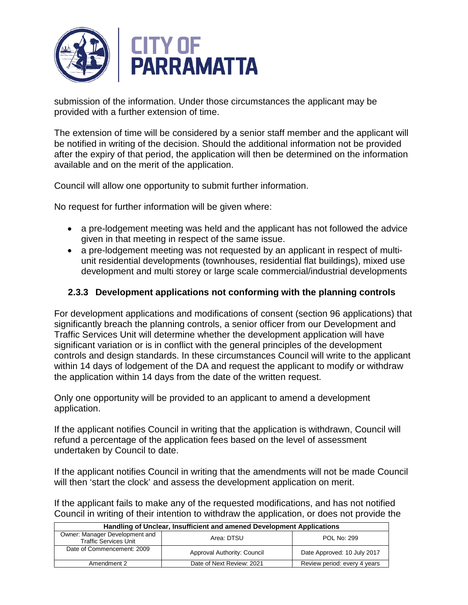

submission of the information. Under those circumstances the applicant may be provided with a further extension of time.

The extension of time will be considered by a senior staff member and the applicant will be notified in writing of the decision. Should the additional information not be provided after the expiry of that period, the application will then be determined on the information available and on the merit of the application.

Council will allow one opportunity to submit further information.

No request for further information will be given where:

- a pre-lodgement meeting was held and the applicant has not followed the advice given in that meeting in respect of the same issue.
- a pre-lodgement meeting was not requested by an applicant in respect of multiunit residential developments (townhouses, residential flat buildings), mixed use development and multi storey or large scale commercial/industrial developments

# **2.3.3 Development applications not conforming with the planning controls**

For development applications and modifications of consent (section 96 applications) that significantly breach the planning controls, a senior officer from our Development and Traffic Services Unit will determine whether the development application will have significant variation or is in conflict with the general principles of the development controls and design standards. In these circumstances Council will write to the applicant within 14 days of lodgement of the DA and request the applicant to modify or withdraw the application within 14 days from the date of the written request.

Only one opportunity will be provided to an applicant to amend a development application.

If the applicant notifies Council in writing that the application is withdrawn, Council will refund a percentage of the application fees based on the level of assessment undertaken by Council to date.

If the applicant notifies Council in writing that the amendments will not be made Council will then 'start the clock' and assess the development application on merit.

If the applicant fails to make any of the requested modifications, and has not notified Council in writing of their intention to withdraw the application, or does not provide the

| Handling of Unclear, Insufficient and amened Development Applications |                             |                              |  |
|-----------------------------------------------------------------------|-----------------------------|------------------------------|--|
| Owner: Manager Development and<br><b>Traffic Services Unit</b>        | Area: DTSU                  | POL No: 299                  |  |
| Date of Commencement: 2009                                            | Approval Authority: Council | Date Approved: 10 July 2017  |  |
| Amendment 2                                                           | Date of Next Review: 2021   | Review period: every 4 years |  |